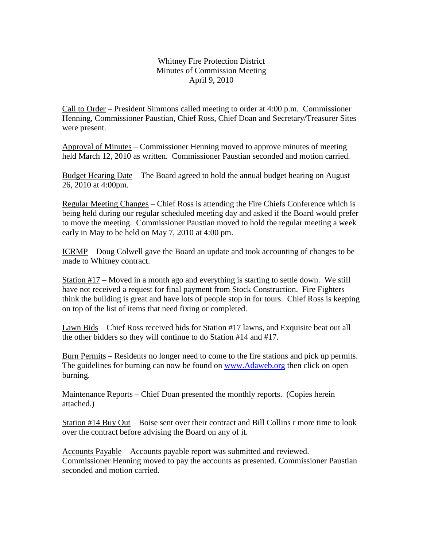Whitney Fire Protection District Minutes of Commission Meeting April 9, 2010

Call to Order – President Simmons called meeting to order at 4:00 p.m. Commissioner Henning, Commissioner Paustian, Chief Ross, Chief Doan and Secretary/Treasurer Sites were present.

Approval of Minutes – Commissioner Henning moved to approve minutes of meeting held March 12, 2010 as written. Commissioner Paustian seconded and motion carried.

Budget Hearing Date – The Board agreed to hold the annual budget hearing on August 26, 2010 at 4:00pm.

Regular Meeting Changes – Chief Ross is attending the Fire Chiefs Conference which is being held during our regular scheduled meeting day and asked if the Board would prefer to move the meeting. Commissioner Paustian moved to hold the regular meeting a week early in May to be held on May 7, 2010 at 4:00 pm.

ICRMP – Doug Colwell gave the Board an update and took accounting of changes to be made to Whitney contract.

Station #17 – Moved in a month ago and everything is starting to settle down. We still have not received a request for final payment from Stock Construction. Fire Fighters think the building is great and have lots of people stop in for tours. Chief Ross is keeping on top of the list of items that need fixing or completed.

Lawn Bids – Chief Ross received bids for Station #17 lawns, and Exquisite beat out all the other bidders so they will continue to do Station #14 and #17.

Burn Permits – Residents no longer need to come to the fire stations and pick up permits. The guidelines for burning can now be found on [www.Adaweb.org](http://www.adaweb.org/) then click on open burning.

Maintenance Reports – Chief Doan presented the monthly reports. (Copies herein attached.)

Station #14 Buy Out – Boise sent over their contract and Bill Collins r more time to look over the contract before advising the Board on any of it.

Accounts Payable – Accounts payable report was submitted and reviewed. Commissioner Henning moved to pay the accounts as presented. Commissioner Paustian seconded and motion carried.